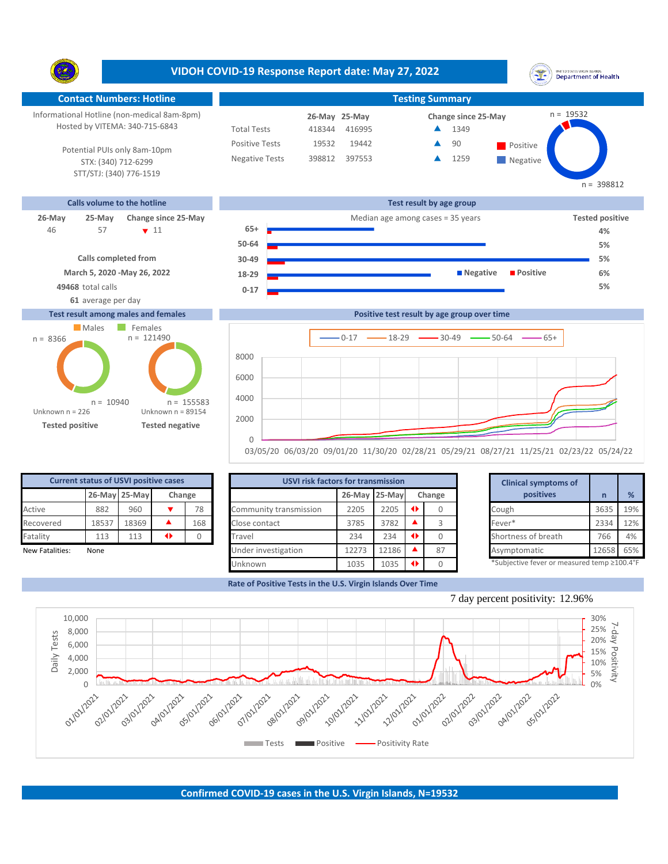**VIDOH COVID-19 Response Report date: May 27, 2022** UNITED STATES VIRGIN ISLANDS<br>Department of Health Y. **Contact Numbers: Hotline Testing Summary Testing Summary** n = 19532 Informational Hotline (non-medical 8am-8pm) **25-May 26-May Change since 25-May** Hosted by VITEMA: 340-715-6843 Total Tests 418344 416995 ▲ 1349 Positive Tests 19532 19442 **4 90** Positive  $\blacktriangle$ 90 Potential PUIs only 8am-10pm Negative Tests 398812 397553 ▲ 1259  $\blacktriangle$ STX: (340) 712-6299 **Negative** STT/STJ: (340) 776-1519 n = 398812 **Calls volume to the hotline Test result by age group 26-May 25-May Change since 25-May** Median age among cases = 35 years **Tested positive** 57  $\sqrt{11}$ **65+** 46 **4% 50-64 5% Calls completed from 30-49 5% March 5, 2020 -May 26, 2022 18-29 Negative Positive 6% 49468** total calls **5% 0-17 61** average per day **Test result among males and females Positive test result by age group over time** Males Females n = 121490n = 8366  $0-17$   $\longrightarrow$  18-29  $\longrightarrow$  30-49  $\longrightarrow$  50-64  $\longrightarrow$  65+ 8000 6000 4000 n = 155583 n = 10940 Unknown n = 226 Unknown n = 89154

> $\Omega$ 03/05/20 06/03/20 09/01/20 11/30/20 02/28/21 05/29/21 08/27/21 11/25/21 02/23/22 05/24/22

| <b>Current status of USVI positive cases</b> |       |               |        |     |  |  |  |  |  |  |  |  |
|----------------------------------------------|-------|---------------|--------|-----|--|--|--|--|--|--|--|--|
|                                              |       | 26-May 25-May | Change |     |  |  |  |  |  |  |  |  |
| Active                                       | 882   | 960           |        | 78  |  |  |  |  |  |  |  |  |
| Recovered                                    | 18537 | 18369         |        | 168 |  |  |  |  |  |  |  |  |
| Fatality                                     | 113   | 113           |        |     |  |  |  |  |  |  |  |  |
| New Fatalities:                              | None  |               |        |     |  |  |  |  |  |  |  |  |

**Tested positive Tested negative**

|                 | <b>Current status of USVI positive cases</b> |               |   |        | <b>USVI risk factors for transmission</b> |       |               |               |        |  | <b>Clinical symptoms of</b>                 |       |               |
|-----------------|----------------------------------------------|---------------|---|--------|-------------------------------------------|-------|---------------|---------------|--------|--|---------------------------------------------|-------|---------------|
|                 |                                              | 26-May 25-May |   | Change |                                           |       | 26-May 25-May |               | Change |  | positives                                   |       | $\frac{9}{6}$ |
| Active          | 882                                          | 960           |   | 78     | Community transmission                    | 2205  | 2205          | $\rightarrow$ |        |  | Cough                                       | 3635  | 19%           |
| Recovered       | 18537                                        | 18369         |   | 168    | Close contact                             | 3785  | 3782          |               |        |  | Fever*                                      | 2334  | 12%           |
| Fatality        | 113                                          | 113           | ◆ |        | Travel                                    | 234   | 234           |               |        |  | Shortness of breath                         | 766   | 4%            |
| New Fatalities: | None                                         |               |   |        | Under investigation                       | 12273 | 12186         |               | 87     |  | Asymptomatic                                | 12658 | 65%           |
|                 |                                              |               |   |        | Unknown                                   | 1035  | 1035          |               |        |  | *Subjective fever or measured temp ≥100.4°F |       |               |

**Rate of Positive Tests in the U.S. Virgin Islands Over Time**

2000

|                 |  | Fever*                                      | 2334  | 12% |
|-----------------|--|---------------------------------------------|-------|-----|
| $\blacklozenge$ |  | Shortness of breath                         | 766   | 4%  |
|                 |  | Asymptomatic                                | 12658 | 65% |
| 41              |  | *Subjective fever or measured temp ≥100.4°F |       |     |



7 day percent positivity: 12.96%